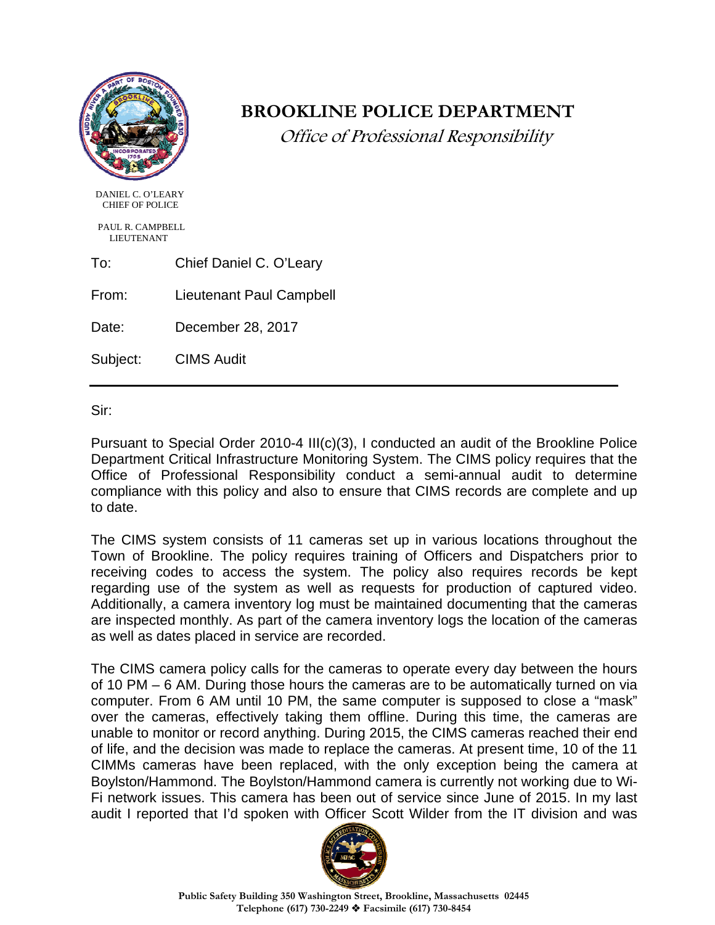

# **BROOKLINE POLICE DEPARTMENT**

Office of Professional Responsibility

 DANIEL C. O'LEARY CHIEF OF POLICE

 PAUL R. CAMPBELL LIEUTENANT

To: Chief Daniel C. O'Leary

From: Lieutenant Paul Campbell

Date: December 28, 2017

Subject: CIMS Audit

Sir:

Pursuant to Special Order 2010-4 III(c)(3), I conducted an audit of the Brookline Police Department Critical Infrastructure Monitoring System. The CIMS policy requires that the Office of Professional Responsibility conduct a semi-annual audit to determine compliance with this policy and also to ensure that CIMS records are complete and up to date.

The CIMS system consists of 11 cameras set up in various locations throughout the Town of Brookline. The policy requires training of Officers and Dispatchers prior to receiving codes to access the system. The policy also requires records be kept regarding use of the system as well as requests for production of captured video. Additionally, a camera inventory log must be maintained documenting that the cameras are inspected monthly. As part of the camera inventory logs the location of the cameras as well as dates placed in service are recorded.

The CIMS camera policy calls for the cameras to operate every day between the hours of 10 PM – 6 AM. During those hours the cameras are to be automatically turned on via computer. From 6 AM until 10 PM, the same computer is supposed to close a "mask" over the cameras, effectively taking them offline. During this time, the cameras are unable to monitor or record anything. During 2015, the CIMS cameras reached their end of life, and the decision was made to replace the cameras. At present time, 10 of the 11 CIMMs cameras have been replaced, with the only exception being the camera at Boylston/Hammond. The Boylston/Hammond camera is currently not working due to Wi-Fi network issues. This camera has been out of service since June of 2015. In my last audit I reported that I'd spoken with Officer Scott Wilder from the IT division and was

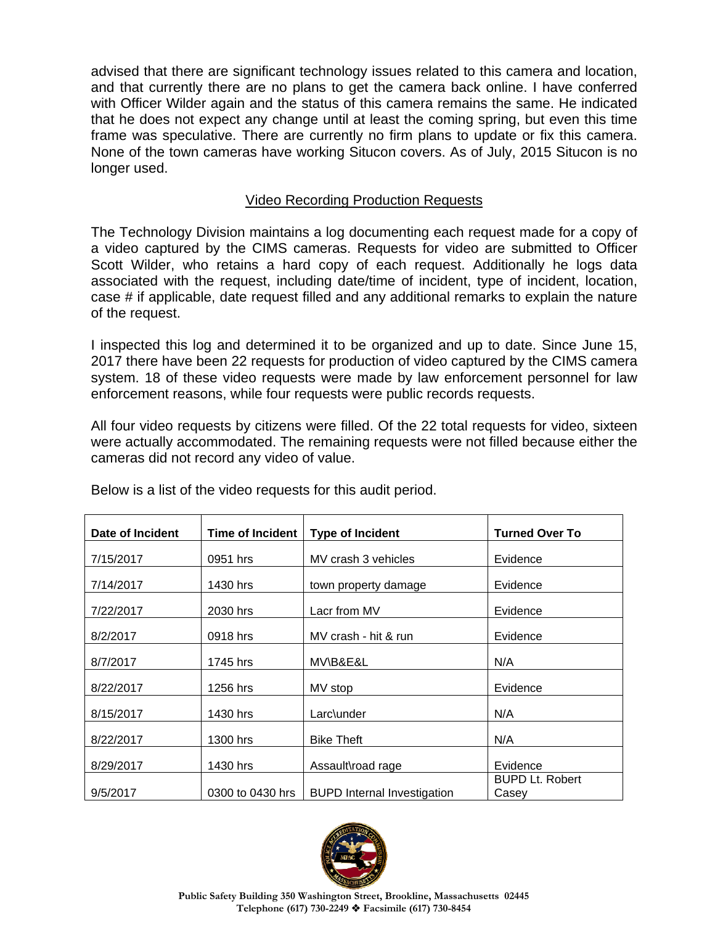advised that there are significant technology issues related to this camera and location, and that currently there are no plans to get the camera back online. I have conferred with Officer Wilder again and the status of this camera remains the same. He indicated that he does not expect any change until at least the coming spring, but even this time frame was speculative. There are currently no firm plans to update or fix this camera. None of the town cameras have working Situcon covers. As of July, 2015 Situcon is no longer used.

## Video Recording Production Requests

The Technology Division maintains a log documenting each request made for a copy of a video captured by the CIMS cameras. Requests for video are submitted to Officer Scott Wilder, who retains a hard copy of each request. Additionally he logs data associated with the request, including date/time of incident, type of incident, location, case # if applicable, date request filled and any additional remarks to explain the nature of the request.

I inspected this log and determined it to be organized and up to date. Since June 15, 2017 there have been 22 requests for production of video captured by the CIMS camera system. 18 of these video requests were made by law enforcement personnel for law enforcement reasons, while four requests were public records requests.

All four video requests by citizens were filled. Of the 22 total requests for video, sixteen were actually accommodated. The remaining requests were not filled because either the cameras did not record any video of value.

| Date of Incident | <b>Time of Incident</b> | <b>Type of Incident</b>            | <b>Turned Over To</b>           |
|------------------|-------------------------|------------------------------------|---------------------------------|
| 7/15/2017        | 0951 hrs                | MV crash 3 vehicles                | Evidence                        |
| 7/14/2017        | 1430 hrs                | town property damage               | Evidence                        |
| 7/22/2017        | 2030 hrs                | Lacr from MV                       | Evidence                        |
| 8/2/2017         | 0918 hrs                | MV crash - hit & run               | Evidence                        |
| 8/7/2017         | 1745 hrs                | MV\B&E&L                           | N/A                             |
| 8/22/2017        | 1256 hrs                | MV stop                            | Evidence                        |
| 8/15/2017        | 1430 hrs                | Larc\under                         | N/A                             |
| 8/22/2017        | 1300 hrs                | <b>Bike Theft</b>                  | N/A                             |
| 8/29/2017        | 1430 hrs                | Assault\road rage                  | Evidence                        |
| 9/5/2017         | 0300 to 0430 hrs        | <b>BUPD</b> Internal Investigation | <b>BUPD Lt. Robert</b><br>Casey |

Below is a list of the video requests for this audit period.

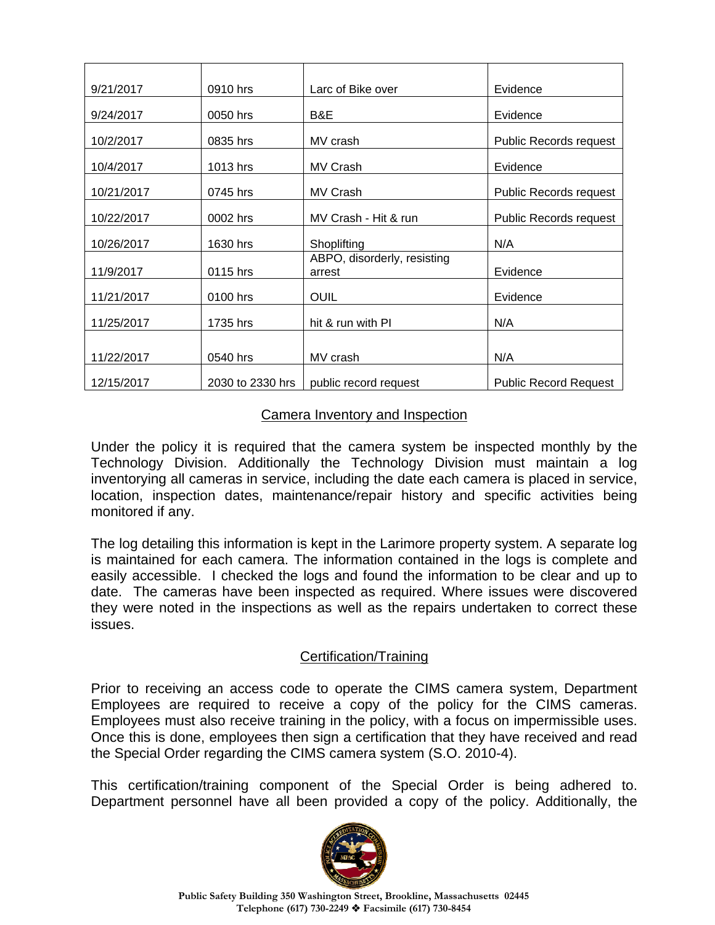| 9/21/2017  | 0910 hrs         | Larc of Bike over                     | Evidence                     |
|------------|------------------|---------------------------------------|------------------------------|
| 9/24/2017  | 0050 hrs         | B&E                                   | Evidence                     |
| 10/2/2017  | 0835 hrs         | MV crash                              | Public Records request       |
| 10/4/2017  | 1013 hrs         | MV Crash                              | Evidence                     |
| 10/21/2017 | 0745 hrs         | MV Crash                              | Public Records request       |
| 10/22/2017 | 0002 hrs         | MV Crash - Hit & run                  | Public Records request       |
| 10/26/2017 | 1630 hrs         | Shoplifting                           | N/A                          |
| 11/9/2017  | 0115 hrs         | ABPO, disorderly, resisting<br>arrest | Evidence                     |
| 11/21/2017 | 0100 hrs         | <b>OUIL</b>                           | Evidence                     |
| 11/25/2017 | 1735 hrs         | hit & run with PI                     | N/A                          |
|            |                  |                                       |                              |
| 11/22/2017 | 0540 hrs         | MV crash                              | N/A                          |
| 12/15/2017 | 2030 to 2330 hrs | public record request                 | <b>Public Record Request</b> |

## Camera Inventory and Inspection

Under the policy it is required that the camera system be inspected monthly by the Technology Division. Additionally the Technology Division must maintain a log inventorying all cameras in service, including the date each camera is placed in service, location, inspection dates, maintenance/repair history and specific activities being monitored if any.

The log detailing this information is kept in the Larimore property system. A separate log is maintained for each camera. The information contained in the logs is complete and easily accessible. I checked the logs and found the information to be clear and up to date. The cameras have been inspected as required. Where issues were discovered they were noted in the inspections as well as the repairs undertaken to correct these issues.

# Certification/Training

Prior to receiving an access code to operate the CIMS camera system, Department Employees are required to receive a copy of the policy for the CIMS cameras. Employees must also receive training in the policy, with a focus on impermissible uses. Once this is done, employees then sign a certification that they have received and read the Special Order regarding the CIMS camera system (S.O. 2010-4).

This certification/training component of the Special Order is being adhered to. Department personnel have all been provided a copy of the policy. Additionally, the